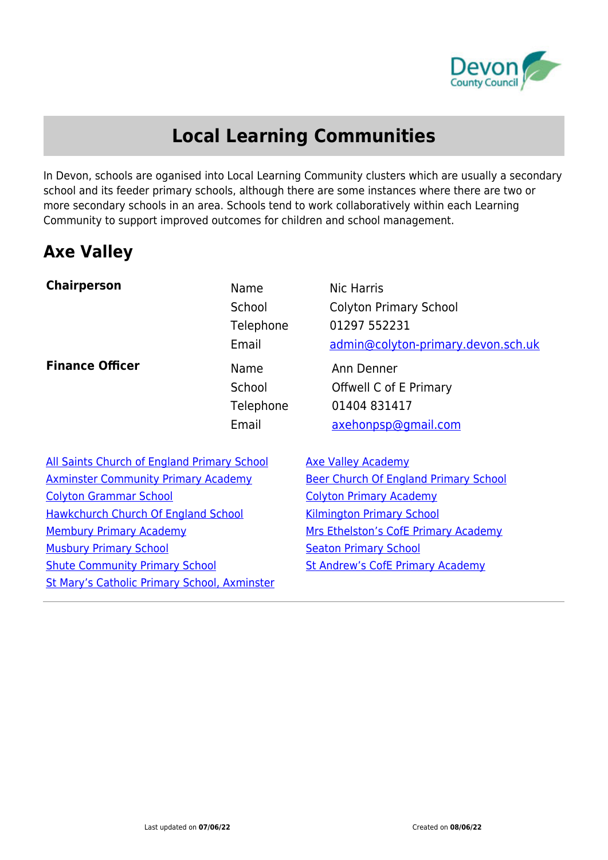

## **Local Learning Communities**

In Devon, schools are oganised into Local Learning Community clusters which are usually a secondary school and its feeder primary schools, although there are some instances where there are two or more secondary schools in an area. Schools tend to work collaboratively within each Learning Community to support improved outcomes for children and school management.

#### **Axe Valley**

| <b>Chairperson</b>                                  | Name<br>School<br>Telephone<br>Email | Nic Harris<br><b>Colyton Primary School</b><br>01297 552231<br>admin@colyton-primary.devon.sch.uk |
|-----------------------------------------------------|--------------------------------------|---------------------------------------------------------------------------------------------------|
| <b>Finance Officer</b>                              | Name<br>School<br>Telephone<br>Email | Ann Denner<br>Offwell C of E Primary<br>01404 831417<br>axehonpsp@gmail.com                       |
| All Saints Church of England Primary School         |                                      | <b>Axe Valley Academy</b>                                                                         |
| <b>Axminster Community Primary Academy</b>          |                                      | <b>Beer Church Of England Primary School</b>                                                      |
| <b>Colyton Grammar School</b>                       |                                      | <b>Colyton Primary Academy</b>                                                                    |
| <b>Hawkchurch Church Of England School</b>          |                                      | <b>Kilmington Primary School</b>                                                                  |
| <b>Membury Primary Academy</b>                      |                                      | Mrs Ethelston's CofE Primary Academy                                                              |
| <b>Musbury Primary School</b>                       |                                      | <b>Seaton Primary School</b>                                                                      |
| <b>Shute Community Primary School</b>               |                                      | <b>St Andrew's CofE Primary Academy</b>                                                           |
| <b>St Mary's Catholic Primary School, Axminster</b> |                                      |                                                                                                   |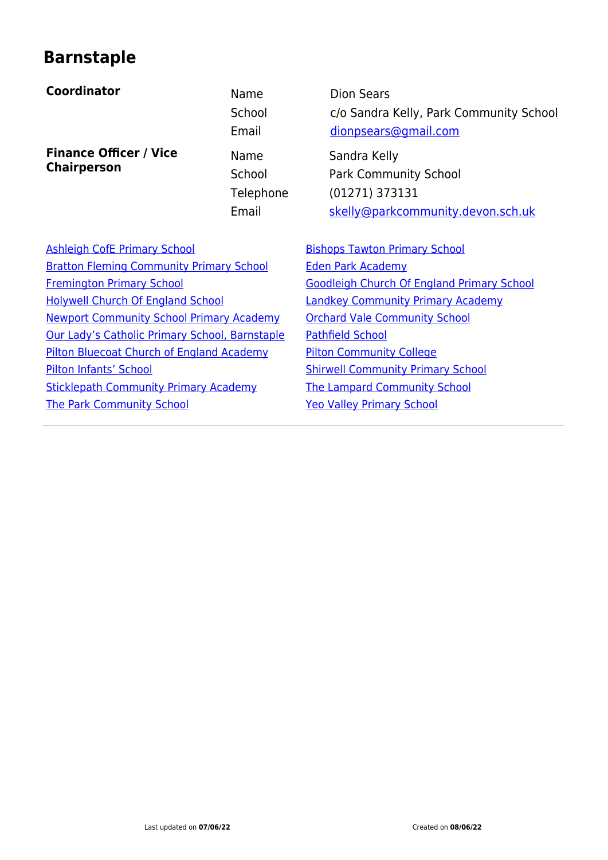#### **Barnstaple**

#### **Coordinator Name** Dion Sears

**Finance Officer / Vice Chairperson**

School Park Community School

School c/o Sandra Kelly, Park Community School Email [dionpsears@gmail.com](mailto:dionpsears@gmail.com) Name Sandra Kelly

Telephone (01271) 373131 Email [skelly@parkcommunity.devon.sch.uk](#page--1-0)

[Ashleigh CofE Primary School](https://www.devon.gov.uk/schools/school/ashleigh-church-of-england-vc-primary-school/) **[Bishops Tawton Primary School](https://www.devon.gov.uk/schools/school/bishops-tawton-primary-school/)** [Bratton Fleming Community Primary School](https://www.devon.gov.uk/schools/school/bratton-fleming-community-primary-school/) [Eden Park Academy](https://www.devon.gov.uk/schools/school/forches-cross-community-primary-school/) [Fremington Primary School](https://www.devon.gov.uk/schools/school/fremington-community-primary-nursery-school/) [Goodleigh Church Of England Primary School](https://www.devon.gov.uk/schools/school/goodleigh-church-of-england-primary-school/) [Holywell Church Of England School](https://www.devon.gov.uk/schools/school/holywell-church-of-england-primary-school/) [Landkey Community Primary Academy](https://www.devon.gov.uk/schools/school/landkey-primary-school/) [Newport Community School Primary Academy](https://www.devon.gov.uk/schools/school/newport-community-school-primary-academy/) [Orchard Vale Community School](https://www.devon.gov.uk/schools/school/orchard-vale-community-school/) [Our Lady's Catholic Primary School, Barnstaple](https://www.devon.gov.uk/schools/school/our-ladys-catholic-primary-school-barnstaple/) [Pathfield School](https://www.devon.gov.uk/schools/school/pathfield-school/) [Pilton Bluecoat Church of England Academy](https://www.devon.gov.uk/schools/school/pilton-the-bluecoat-church-of-england-junior-school/) [Pilton Community College](https://www.devon.gov.uk/schools/school/pilton-community-college/) [Pilton Infants' School](https://www.devon.gov.uk/schools/school/pilton-infants-school/) [Shirwell Community Primary School](https://www.devon.gov.uk/schools/school/shirwell-community-primary-school/) [Sticklepath Community Primary Academy](https://www.devon.gov.uk/schools/school/sticklepath-community-school/) [The Lampard Community School](https://www.devon.gov.uk/schools/school/the-lampard-community-school/) [The Park Community School](https://www.devon.gov.uk/schools/school/the-park-community-school-barnstaple/) [Yeo Valley Primary School](https://www.devon.gov.uk/schools/school/yeo-valley-primary-school/)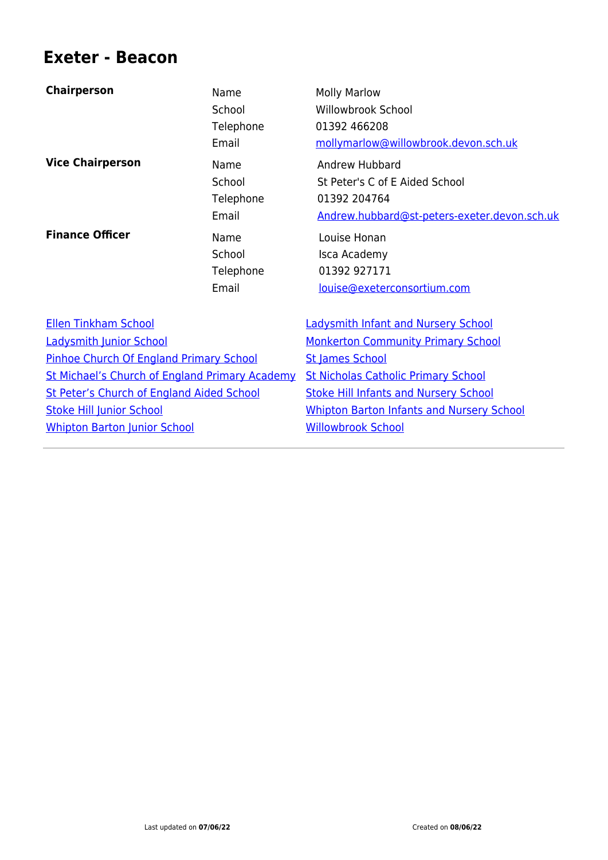#### **Exeter - Beacon**

| <b>Chairperson</b>                                    | Name<br>School<br>Telephone<br>Email | <b>Molly Marlow</b><br><b>Willowbrook School</b><br>01392 466208<br>mollymarlow@willowbrook.devon.sch.uk         |
|-------------------------------------------------------|--------------------------------------|------------------------------------------------------------------------------------------------------------------|
| <b>Vice Chairperson</b>                               | Name<br>School<br>Telephone<br>Email | Andrew Hubbard<br>St Peter's C of E Aided School<br>01392 204764<br>Andrew.hubbard@st-peters-exeter.devon.sch.uk |
| <b>Finance Officer</b>                                | Name<br>School<br>Telephone<br>Email | Louise Honan<br>Isca Academy<br>01392 927171<br>louise@exeterconsortium.com                                      |
| <b>Ellen Tinkham School</b>                           |                                      | <b>Ladysmith Infant and Nursery School</b>                                                                       |
| <b>Ladysmith Junior School</b>                        |                                      | <b>Monkerton Community Primary School</b>                                                                        |
| Pinhoe Church Of England Primary School               |                                      | <b>St James School</b>                                                                                           |
| <b>St Michael's Church of England Primary Academy</b> |                                      | <b>St Nicholas Catholic Primary School</b>                                                                       |
| St Peter's Church of England Aided School             |                                      | <b>Stoke Hill Infants and Nursery School</b>                                                                     |
| <b>Stoke Hill Junior School</b>                       |                                      | <b>Whipton Barton Infants and Nursery School</b>                                                                 |
| <b>Whipton Barton Junior School</b>                   |                                      | <b>Willowbrook School</b>                                                                                        |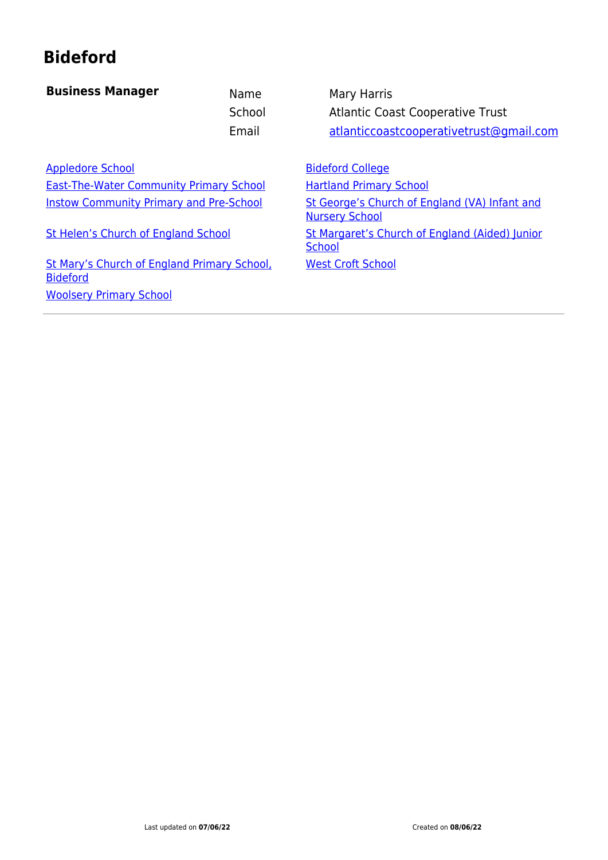## **Bideford**

| <b>Business Manager</b>                                        | Name<br>School<br>Email | Mary Harris<br><b>Atlantic Coast Cooperative Trust</b><br>atlanticcoastcooperativetrust@gmail.com |
|----------------------------------------------------------------|-------------------------|---------------------------------------------------------------------------------------------------|
| <b>Appledore School</b>                                        |                         | <b>Bideford College</b>                                                                           |
| <b>East-The-Water Community Primary School</b>                 |                         | <b>Hartland Primary School</b>                                                                    |
| <b>Instow Community Primary and Pre-School</b>                 |                         | St George's Church of England (VA) Infant and<br><b>Nursery School</b>                            |
| St Helen's Church of England School                            |                         | St Margaret's Church of England (Aided) Junior<br><b>School</b>                                   |
| St Mary's Church of England Primary School,<br><b>Bideford</b> |                         | <b>West Croft School</b>                                                                          |
| <b>Woolsery Primary School</b>                                 |                         |                                                                                                   |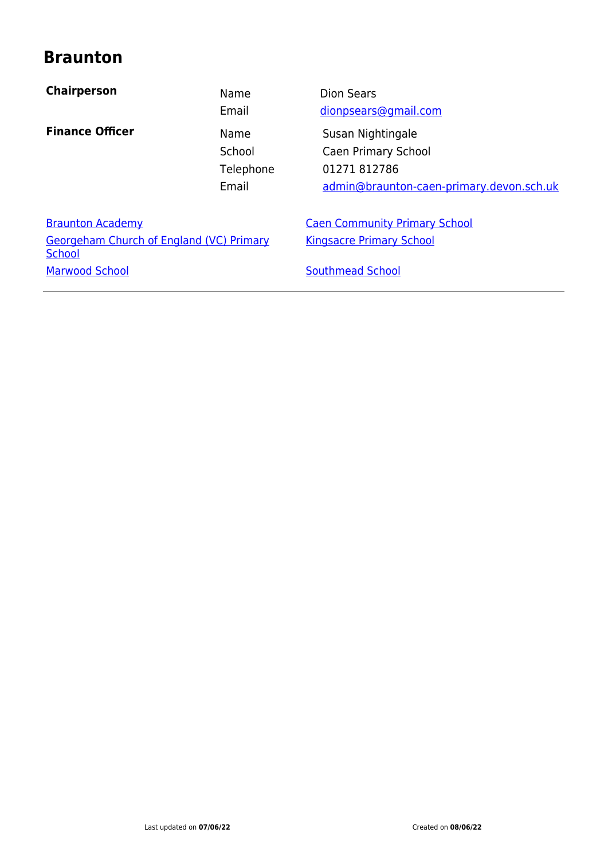#### **Braunton**

| <b>Chairperson</b>                                        | Name<br>Email                        | <b>Dion Sears</b><br>dionpsears@gmail.com                                                            |
|-----------------------------------------------------------|--------------------------------------|------------------------------------------------------------------------------------------------------|
| <b>Finance Officer</b>                                    | Name<br>School<br>Telephone<br>Email | Susan Nightingale<br>Caen Primary School<br>01271 812786<br>admin@braunton-caen-primary.devon.sch.uk |
| <b>Braunton Academy</b>                                   |                                      | <b>Caen Community Primary School</b>                                                                 |
| <b>Georgeham Church of England (VC) Primary</b><br>School |                                      | <b>Kingsacre Primary School</b>                                                                      |
| <b>Marwood School</b>                                     |                                      | <b>Southmead School</b>                                                                              |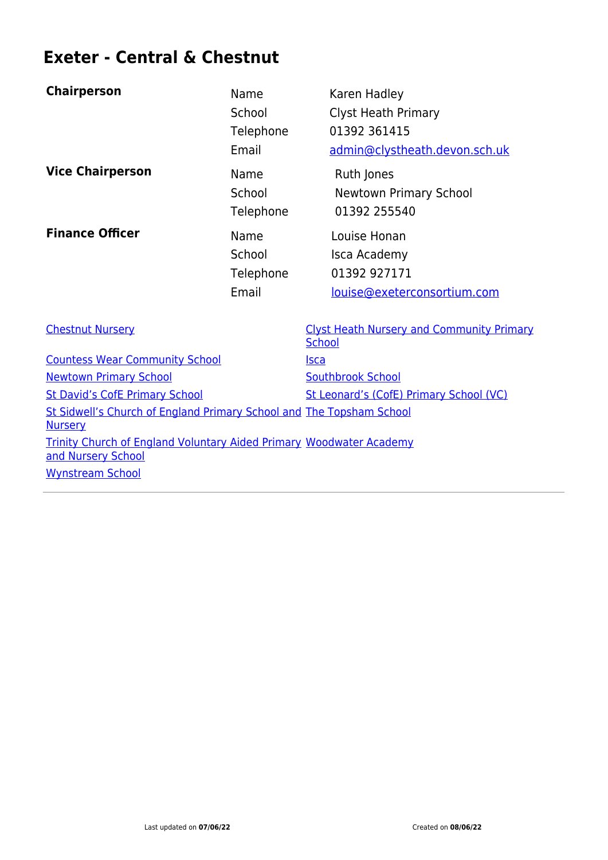## **Exeter - Central & Chestnut**

| <b>Chairperson</b>                    | Name      | Karen Hadley                                                      |
|---------------------------------------|-----------|-------------------------------------------------------------------|
|                                       | School    | <b>Clyst Heath Primary</b>                                        |
|                                       | Telephone | 01392 361415                                                      |
|                                       | Email     | admin@clystheath.devon.sch.uk                                     |
| <b>Vice Chairperson</b>               | Name      | Ruth Jones                                                        |
|                                       | School    | <b>Newtown Primary School</b>                                     |
|                                       | Telephone | 01392 255540                                                      |
| <b>Finance Officer</b>                | Name      | Louise Honan                                                      |
|                                       | School    | Isca Academy                                                      |
|                                       | Telephone | 01392 927171                                                      |
|                                       | Email     | louise@exeterconsortium.com                                       |
| <b>Chestnut Nursery</b>               |           | <b>Clyst Heath Nursery and Community Primary</b><br><b>School</b> |
| <b>Countess Wear Community School</b> |           | <u>Isca</u>                                                       |
| <b>Newtown Primary School</b>         |           | <b>Southbrook School</b>                                          |
| <b>St David's CofE Primary School</b> |           | St Leonard's (CofE) Primary School (VC)                           |

[St Sidwell's Church of England Primary School and](https://www.devon.gov.uk/schools/school/st-sidwells-church-of-england-primary-school-exeter/) [The Topsham School](https://www.devon.gov.uk/schools/school/the-topsham-school/)

[Trinity Church of England Voluntary Aided Primary](https://www.devon.gov.uk/schools/school/trinity-church-of-england-voluntary-aided-primary-and-nursery-school/) [Woodwater Academy](https://www.devon.gov.uk/schools/school/the-woodwater-academy/)

**[Nursery](https://www.devon.gov.uk/schools/school/st-sidwells-church-of-england-primary-school-exeter/)** 

[and Nursery School](https://www.devon.gov.uk/schools/school/trinity-church-of-england-voluntary-aided-primary-and-nursery-school/) [Wynstream School](https://www.devon.gov.uk/schools/school/wynstream-school/)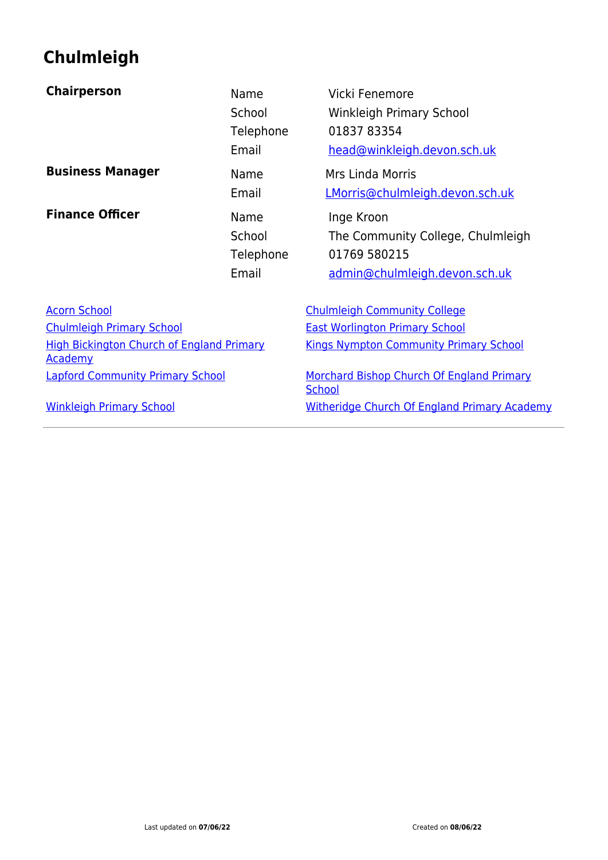## **Chulmleigh**

| <b>Chairperson</b>                                                 | Name<br>School<br>Telephone<br>Email | Vicki Fenemore<br><b>Winkleigh Primary School</b><br>01837 83354<br>head@winkleigh.devon.sch.uk  |
|--------------------------------------------------------------------|--------------------------------------|--------------------------------------------------------------------------------------------------|
| <b>Business Manager</b>                                            | Name<br>Email                        | <b>Mrs Linda Morris</b><br>LMorris@chulmleigh.devon.sch.uk                                       |
| <b>Finance Officer</b>                                             | Name<br>School<br>Telephone<br>Email | Inge Kroon<br>The Community College, Chulmleigh<br>01769 580215<br>admin@chulmleigh.devon.sch.uk |
| <b>Acorn School</b>                                                |                                      | <b>Chulmleigh Community College</b>                                                              |
| <b>Chulmleigh Primary School</b>                                   |                                      | <b>East Worlington Primary School</b>                                                            |
| <b>High Bickington Church of England Primary</b><br><b>Academy</b> |                                      | <b>Kings Nympton Community Primary School</b>                                                    |
| <b>Lapford Community Primary School</b>                            |                                      | Morchard Bishop Church Of England Primary<br><b>School</b>                                       |
| <b>Winkleigh Primary School</b>                                    |                                      | <b>Witheridge Church Of England Primary Academy</b>                                              |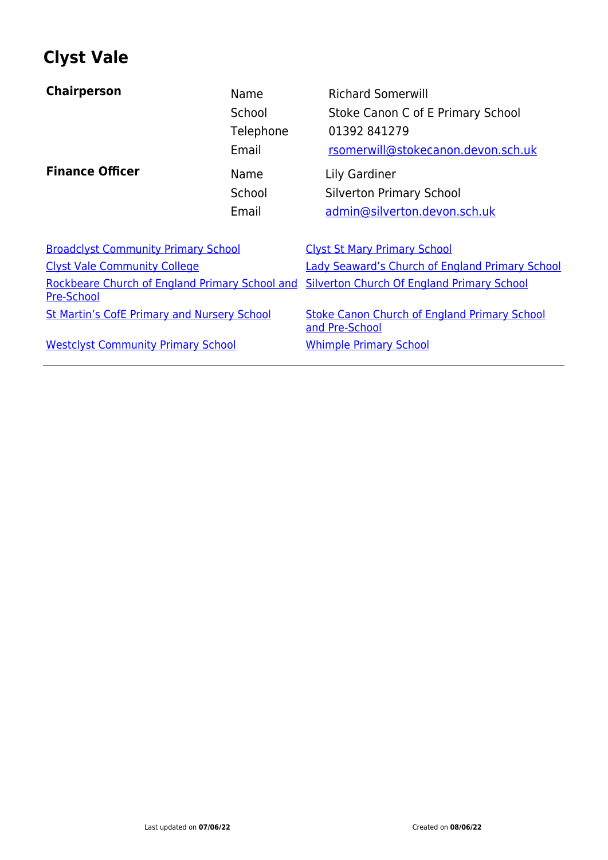## **Clyst Vale**

| <b>Chairperson</b>                                                  | Name<br>School<br>Telephone<br>Email | <b>Richard Somerwill</b><br>Stoke Canon C of E Primary School<br>01392 841279<br>rsomerwill@stokecanon.devon.sch.uk |
|---------------------------------------------------------------------|--------------------------------------|---------------------------------------------------------------------------------------------------------------------|
| <b>Finance Officer</b>                                              | Name<br>School<br>Email              | Lily Gardiner<br><b>Silverton Primary School</b><br>admin@silverton.devon.sch.uk                                    |
| <b>Broadclyst Community Primary School</b>                          |                                      | <b>Clyst St Mary Primary School</b>                                                                                 |
| <b>Clyst Vale Community College</b>                                 |                                      | <b>Lady Seaward's Church of England Primary School</b>                                                              |
| Rockbeare Church of England Primary School and<br><b>Pre-School</b> |                                      | <b>Silverton Church Of England Primary School</b>                                                                   |
| <b>St Martin's CofE Primary and Nursery School</b>                  |                                      | <b>Stoke Canon Church of England Primary School</b><br>and Pre-School                                               |
| <b>Westclyst Community Primary School</b>                           |                                      | <b>Whimple Primary School</b>                                                                                       |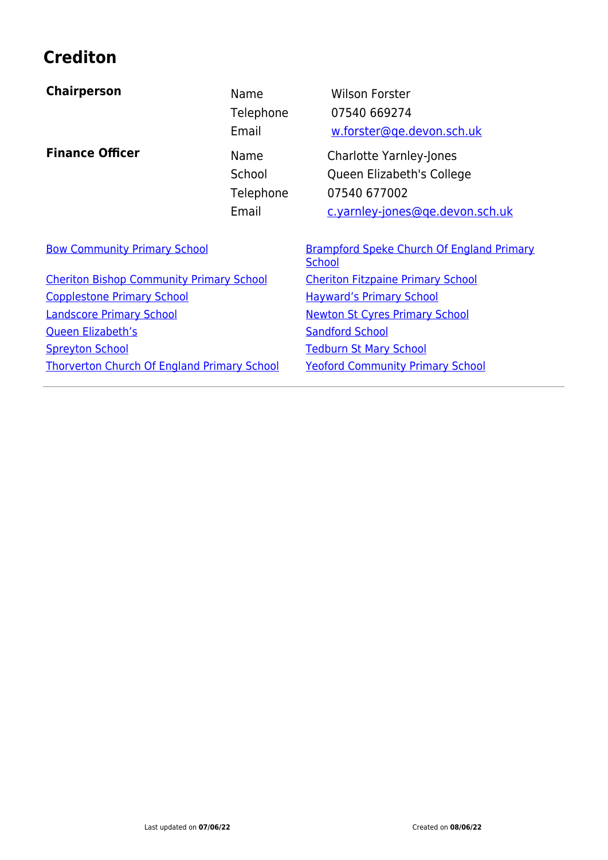## **Crediton**

| <b>Chairperson</b>                                 | Name<br>Telephone<br>Email           | <b>Wilson Forster</b><br>07540 669274<br>w.forster@qe.devon.sch.uk                                             |
|----------------------------------------------------|--------------------------------------|----------------------------------------------------------------------------------------------------------------|
| <b>Finance Officer</b>                             | Name<br>School<br>Telephone<br>Email | <b>Charlotte Yarnley-Jones</b><br>Queen Elizabeth's College<br>07540 677002<br>c.yarnley-jones@ge.devon.sch.uk |
| <b>Bow Community Primary School</b>                |                                      | <b>Brampford Speke Church Of England Primary</b><br><b>School</b>                                              |
| <b>Cheriton Bishop Community Primary School</b>    |                                      | <b>Cheriton Fitzpaine Primary School</b>                                                                       |
| <b>Copplestone Primary School</b>                  |                                      | <b>Hayward's Primary School</b>                                                                                |
| <b>Landscore Primary School</b>                    |                                      | <b>Newton St Cyres Primary School</b>                                                                          |
| <b>Queen Elizabeth's</b>                           |                                      | <b>Sandford School</b>                                                                                         |
| <b>Spreyton School</b>                             |                                      | <b>Tedburn St Mary School</b>                                                                                  |
| <b>Thorverton Church Of England Primary School</b> |                                      | <b>Yeoford Community Primary School</b>                                                                        |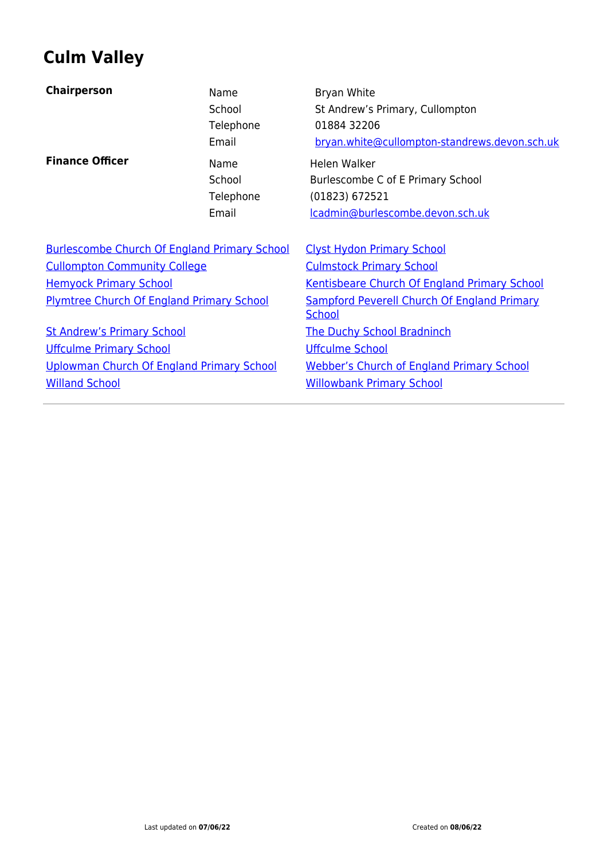## **Culm Valley**

| <b>Chairperson</b>                                  | Name<br>School<br>Telephone<br>Email | Bryan White<br>St Andrew's Primary, Cullompton<br>01884 32206<br>bryan.white@cullompton-standrews.devon.sch.uk |
|-----------------------------------------------------|--------------------------------------|----------------------------------------------------------------------------------------------------------------|
| <b>Finance Officer</b>                              | Name<br>School<br>Telephone<br>Email | Helen Walker<br>Burlescombe C of E Primary School<br>(01823) 672521<br>lcadmin@burlescombe.devon.sch.uk        |
| <b>Burlescombe Church Of England Primary School</b> |                                      | <b>Clyst Hydon Primary School</b>                                                                              |
| <b>Cullompton Community College</b>                 |                                      | <b>Culmstock Primary School</b>                                                                                |
| <b>Hemyock Primary School</b>                       |                                      | <b>Kentisbeare Church Of England Primary School</b>                                                            |
| <b>Plymtree Church Of England Primary School</b>    |                                      | <b>Sampford Peverell Church Of England Primary</b><br><b>School</b>                                            |
| <b>St Andrew's Primary School</b>                   |                                      | <b>The Duchy School Bradninch</b>                                                                              |
| <b>Uffculme Primary School</b>                      |                                      | <b>Uffculme School</b>                                                                                         |
| Uplowman Church Of England Primary School           |                                      | <b>Webber's Church of England Primary School</b>                                                               |
| <b>Willand School</b>                               |                                      | <b>Willowbank Primary School</b>                                                                               |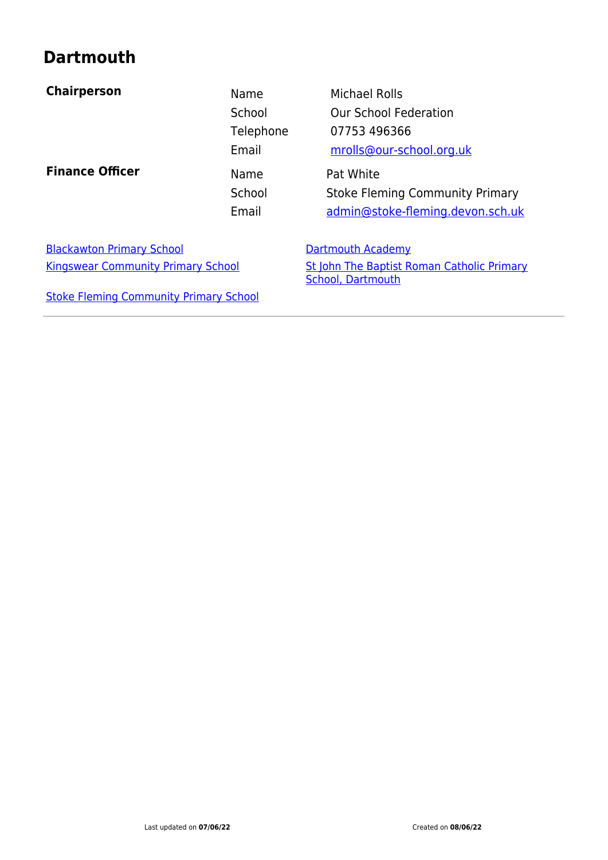## **Dartmouth**

| <b>Chairperson</b>                            | Name<br>School<br>Telephone<br>Email | Michael Rolls<br><b>Our School Federation</b><br>07753 496366<br>mrolls@our-school.org.uk |
|-----------------------------------------------|--------------------------------------|-------------------------------------------------------------------------------------------|
| <b>Finance Officer</b>                        | Name<br>School<br>Email              | Pat White<br><b>Stoke Fleming Community Primary</b><br>admin@stoke-fleming.devon.sch.uk   |
| <b>Blackawton Primary School</b>              |                                      | Dartmouth Academy                                                                         |
| <b>Kingswear Community Primary School</b>     |                                      | St John The Baptist Roman Catholic Primary<br><b>School, Dartmouth</b>                    |
| <b>Stoke Fleming Community Primary School</b> |                                      |                                                                                           |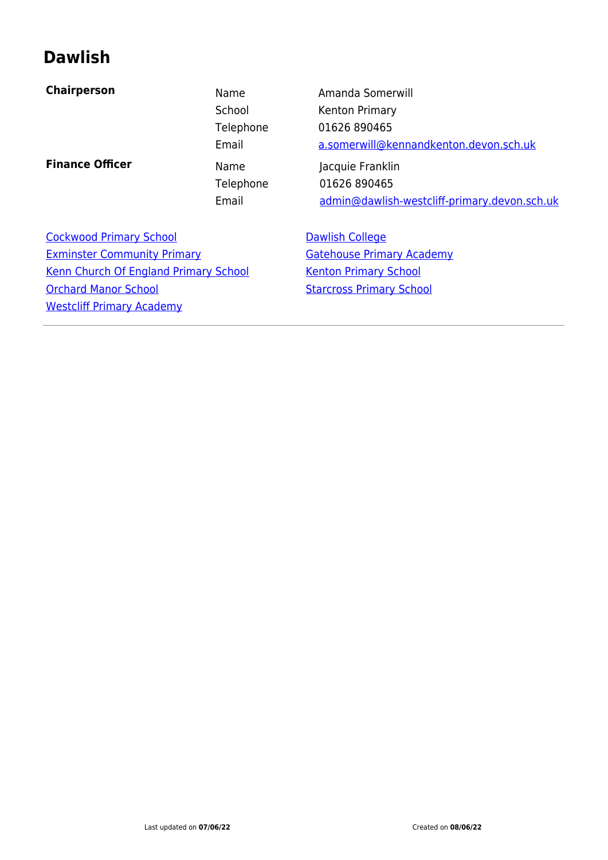#### **Dawlish**

| <b>Chairperson</b>                  | Name      | Amanda Somerwill                             |
|-------------------------------------|-----------|----------------------------------------------|
|                                     | School    | Kenton Primary                               |
|                                     | Telephone | 01626 890465                                 |
|                                     | Email     | a.somerwill@kennandkenton.devon.sch.uk       |
| <b>Finance Officer</b>              | Name      | Jacquie Franklin                             |
|                                     | Telephone | 01626 890465                                 |
|                                     | Email     | admin@dawlish-westcliff-primary.devon.sch.uk |
|                                     |           |                                              |
| Caroliniana di Dulingano, Calendali |           | <b>Denoted Onlines</b>                       |

[Cockwood Primary School](https://www.devon.gov.uk/schools/school/cockwood-primary-school/) **[Dawlish College](https://www.devon.gov.uk/schools/school/dawlish-college/)** [Exminster Community Primary](https://www.devon.gov.uk/schools/school/exminster-community-primary/) **Exminster Community Primary** [Kenn Church Of England Primary School](https://www.devon.gov.uk/schools/school/kenn-church-of-england-primary-school/) [Kenton Primary School](https://www.devon.gov.uk/schools/school/kenton-primary-school/) [Orchard Manor School](https://www.devon.gov.uk/schools/school/ratcliffe-school/) [Starcross Primary School](https://www.devon.gov.uk/schools/school/starcross-primary-school/) [Westcliff Primary Academy](https://www.devon.gov.uk/schools/school/westcliff-school/)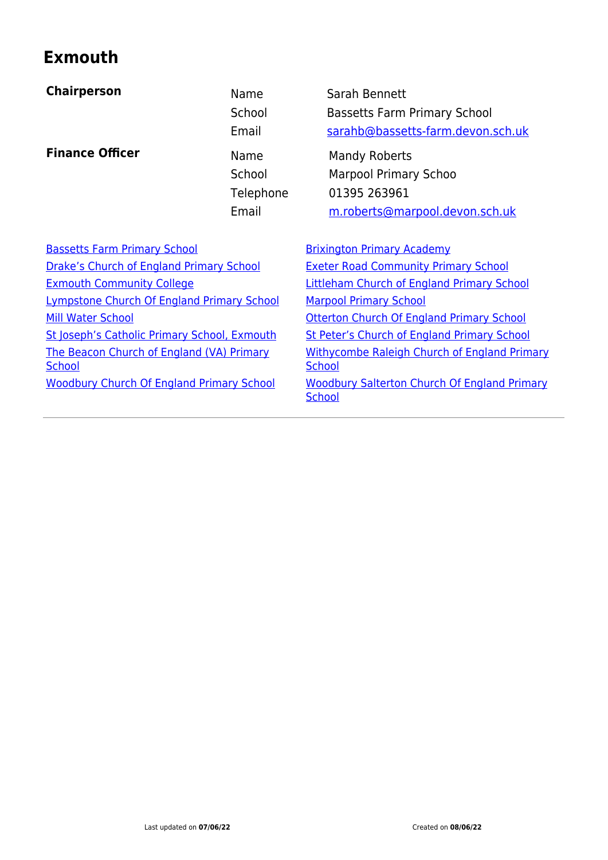## **Exmouth**

| <b>Chairperson</b>                                         | Name<br>School<br>Email              | Sarah Bennett<br><b>Bassetts Farm Primary School</b><br>sarahb@bassetts-farm.devon.sch.uk       |
|------------------------------------------------------------|--------------------------------------|-------------------------------------------------------------------------------------------------|
| <b>Finance Officer</b>                                     | Name<br>School<br>Telephone<br>Email | Mandy Roberts<br><b>Marpool Primary Schoo</b><br>01395 263961<br>m.roberts@marpool.devon.sch.uk |
| <b>Bassetts Farm Primary School</b>                        |                                      | <b>Brixington Primary Academy</b>                                                               |
| Drake's Church of England Primary School                   |                                      | <b>Exeter Road Community Primary School</b>                                                     |
| <b>Exmouth Community College</b>                           |                                      | <b>Littleham Church of England Primary School</b>                                               |
| <b>Lympstone Church Of England Primary School</b>          |                                      | <b>Marpool Primary School</b>                                                                   |
| <b>Mill Water School</b>                                   |                                      | Otterton Church Of England Primary School                                                       |
| St Joseph's Catholic Primary School, Exmouth               |                                      | <b>St Peter's Church of England Primary School</b>                                              |
| The Beacon Church of England (VA) Primary<br><b>School</b> |                                      | <b>Withycombe Raleigh Church of England Primary</b><br><b>School</b>                            |
| <b>Woodbury Church Of England Primary School</b>           |                                      | <b>Woodbury Salterton Church Of England Primary</b><br><b>School</b>                            |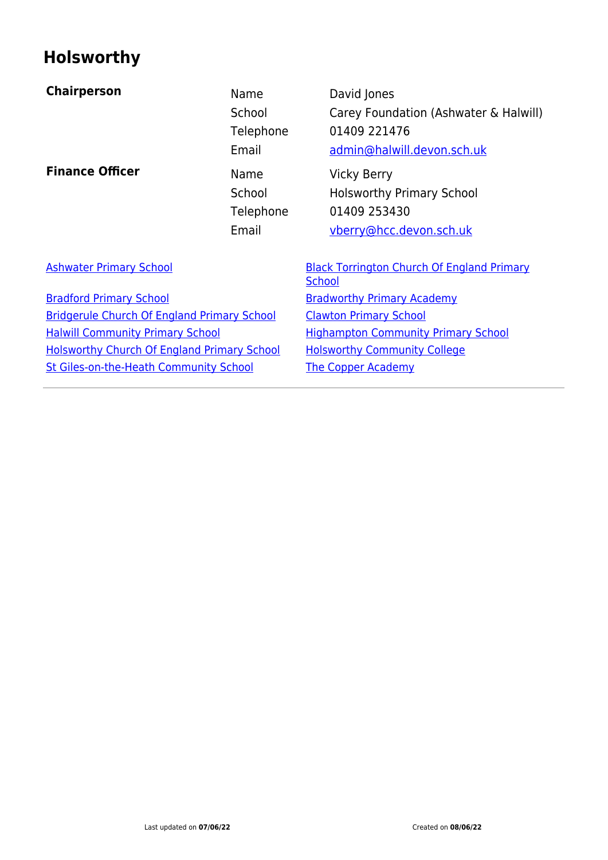## **Holsworthy**

| <b>Chairperson</b>                                 | Name<br>School<br>Telephone<br>Email | David Jones<br>Carey Foundation (Ashwater & Halwill)<br>01409 221476<br>admin@halwill.devon.sch.uk |
|----------------------------------------------------|--------------------------------------|----------------------------------------------------------------------------------------------------|
| <b>Finance Officer</b>                             | Name<br>School<br>Telephone<br>Email | <b>Vicky Berry</b><br><b>Holsworthy Primary School</b><br>01409 253430<br>vberry@hcc.devon.sch.uk  |
| <b>Ashwater Primary School</b>                     |                                      | <b>Black Torrington Church Of England Primary</b><br><b>School</b>                                 |
| <b>Bradford Primary School</b>                     |                                      | <b>Bradworthy Primary Academy</b>                                                                  |
| <b>Bridgerule Church Of England Primary School</b> |                                      | <b>Clawton Primary School</b>                                                                      |
| <b>Halwill Community Primary School</b>            |                                      | <b>Highampton Community Primary School</b>                                                         |
| <b>Holsworthy Church Of England Primary School</b> |                                      | <b>Holsworthy Community College</b>                                                                |
| <b>St Giles-on-the-Heath Community School</b>      |                                      | <b>The Copper Academy</b>                                                                          |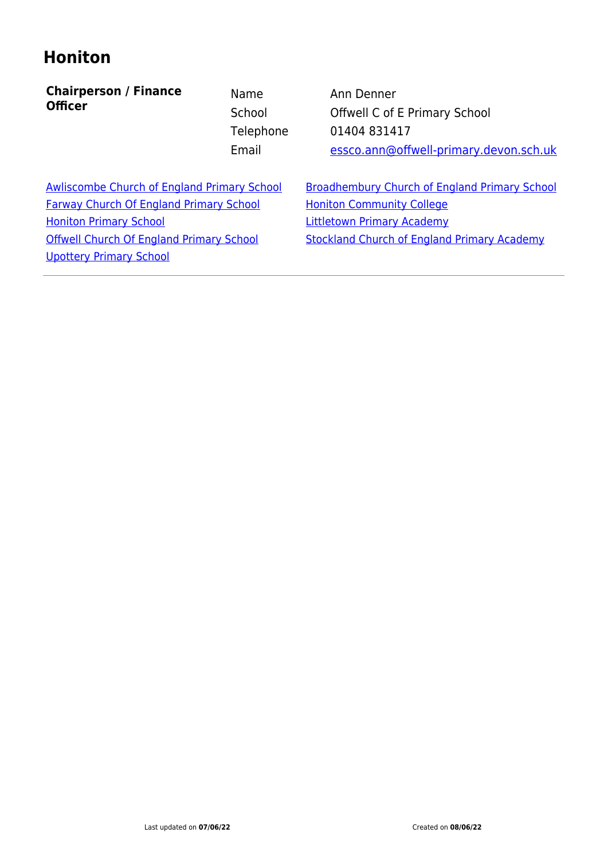#### **Honiton**

**Chairperson / Finance Officer**

Name Ann Denner School **Offwell C of E Primary School** Telephone 01404 831417 Email [essco.ann@offwell-primary.devon.sch.uk](mailto:essco.ann@offwell-primary.devon.sch.uk)

[Farway Church Of England Primary School](https://www.devon.gov.uk/schools/school/farway-church-of-england-primary-school/) [Honiton Community College](https://www.devon.gov.uk/schools/school/honiton-community-college/) [Honiton Primary School](https://www.devon.gov.uk/schools/school/honiton-primary-school/) **[Littletown Primary Academy](https://www.devon.gov.uk/schools/school/littletown-primary-academy/)** [Offwell Church Of England Primary School](https://www.devon.gov.uk/schools/school/offwell-church-of-england-primary-school/) [Stockland Church of England Primary Academy](https://www.devon.gov.uk/schools/school/stockland-church-of-england-primary-school/) [Upottery Primary School](https://www.devon.gov.uk/schools/school/upottery-primary/)

[Awliscombe Church of England Primary School](https://www.devon.gov.uk/schools/school/awliscombe-church-of-england-primary-school/) [Broadhembury Church of England Primary School](https://www.devon.gov.uk/schools/school/broadhembury-church-of-england-primary/)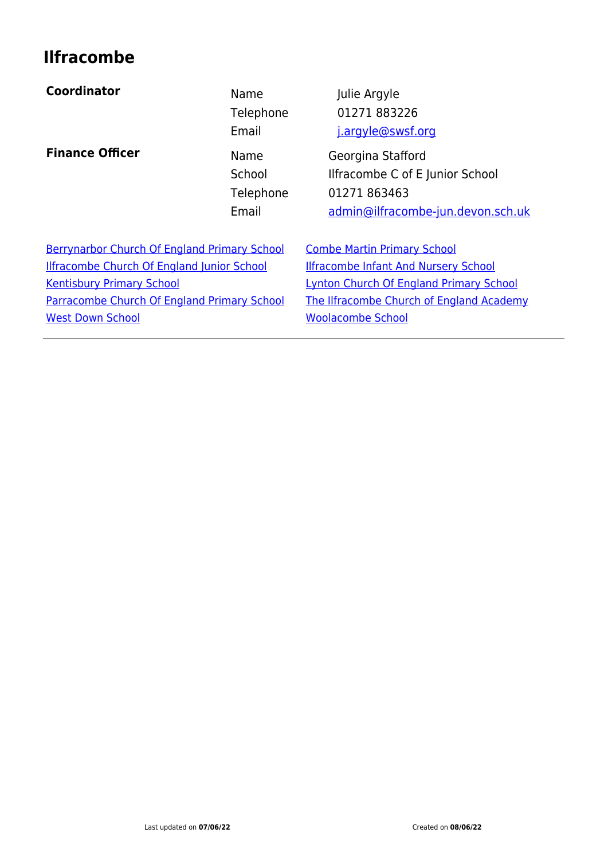## **Ilfracombe**

#### **Coordinator Name Name** Julie Argyle

**Finance Officer** Name Georgina Stafford

Telephone 01271 883226 Email **j**.argyle@swsf.org

School Ilfracombe C of E Junior School Telephone 01271 863463 Email [admin@ilfracombe-jun.devon.sch.uk](#page--1-0)

[Berrynarbor Church Of England Primary School](https://www.devon.gov.uk/schools/school/berrynarbor-church-of-england-primary-school/) [Combe Martin Primary School](https://www.devon.gov.uk/schools/school/combe-martin-primary-school/) [Ilfracombe Church Of England Junior School](https://www.devon.gov.uk/schools/school/ilfracombe-church-of-england-junior-school/) [Ilfracombe Infant And Nursery School](https://www.devon.gov.uk/schools/school/ilfracombe-infant-and-nursery-school/) [Kentisbury Primary School](https://www.devon.gov.uk/schools/school/kentisbury-primary-school/) Kentisbury Primary School [Lynton Church Of England Primary School](https://www.devon.gov.uk/schools/school/lynton-church-of-england-primary-school/) [Parracombe Church Of England Primary School](https://www.devon.gov.uk/schools/school/parracombe-church-of-england-primary-school/) [The Ilfracombe Church of England Academy](https://www.devon.gov.uk/schools/school/the-ilfracombe-academy/) [West Down School](https://www.devon.gov.uk/schools/school/west-down-school/) News Assessment Controller Modern [Woolacombe School](https://www.devon.gov.uk/schools/school/woolacombe-school/)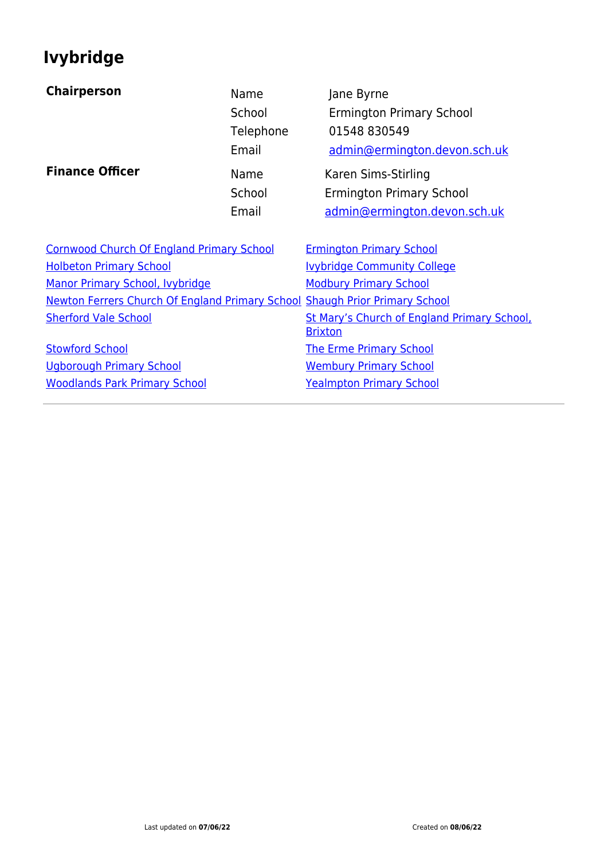## **Ivybridge**

| <b>Chairperson</b>                                                          | Name<br>School<br>Telephone<br>Email | Jane Byrne<br><b>Ermington Primary School</b><br>01548 830549<br>admin@ermington.devon.sch.uk |
|-----------------------------------------------------------------------------|--------------------------------------|-----------------------------------------------------------------------------------------------|
| <b>Finance Officer</b>                                                      | Name<br>School<br>Email              | Karen Sims-Stirling<br><b>Ermington Primary School</b><br>admin@ermington.devon.sch.uk        |
| <b>Cornwood Church Of England Primary School</b>                            |                                      | <b>Ermington Primary School</b>                                                               |
| <b>Holbeton Primary School</b>                                              |                                      | <b>Ivybridge Community College</b>                                                            |
| Manor Primary School, Ivybridge                                             |                                      | <b>Modbury Primary School</b>                                                                 |
| Newton Ferrers Church Of England Primary School Shaugh Prior Primary School |                                      |                                                                                               |
| <b>Sherford Vale School</b>                                                 |                                      | St Mary's Church of England Primary School,<br><b>Brixton</b>                                 |
| <b>Stowford School</b>                                                      |                                      | <b>The Erme Primary School</b>                                                                |
| <b>Ugborough Primary School</b>                                             |                                      | <b>Wembury Primary School</b>                                                                 |
| <b>Woodlands Park Primary School</b>                                        |                                      | <b>Yealmpton Primary School</b>                                                               |
|                                                                             |                                      |                                                                                               |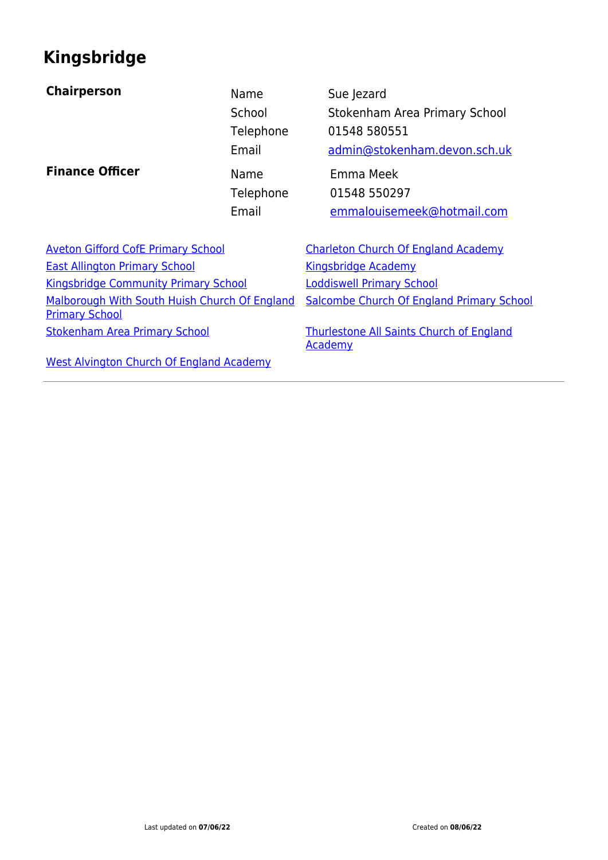## **Kingsbridge**

| <b>Chairperson</b>                        | Name      | Sue Jezard                |
|-------------------------------------------|-----------|---------------------------|
|                                           | School    | Stokenham A               |
|                                           | Telephone | 01548 58055               |
|                                           | Email     | admin@stoke               |
| <b>Finance Officer</b>                    | Name      | Emma Meek                 |
|                                           | Telephone | 01548 55029               |
|                                           | Email     | emmalouiser               |
|                                           |           |                           |
| <b>Aveton Gifford CofE Primary School</b> |           | <b>Charleton Church (</b> |
|                                           |           |                           |

[East Allington Primary School](https://www.devon.gov.uk/schools/school/east-allington-primary-school/) [Kingsbridge Academy](https://www.devon.gov.uk/schools/school/kingsbridge-academy/) [Kingsbridge Community Primary School](https://www.devon.gov.uk/schools/school/kingsbridge-community-primary-school/) [Loddiswell Primary School](https://www.devon.gov.uk/schools/school/loddiswell-primary-school/) [Malborough With South Huish Church Of England](https://www.devon.gov.uk/schools/school/malborough-with-south-huish-church-of-england-primary-school/) [Primary School](https://www.devon.gov.uk/schools/school/malborough-with-south-huish-church-of-england-primary-school/) [Stokenham Area Primary School](https://www.devon.gov.uk/schools/school/stokenham-area-primary-school/) [Thurlestone All Saints Church of England](https://www.devon.gov.uk/schools/school/thurlestone-all-saints-church-of-england-primary-school/)

Stokenham Area Primary School e 01548 580551 [admin@stokenham.devon.sch.uk](mailto:admin@stokenham.devon.sch.uk) e 01548 550297

Email [emmalouisemeek@hotmail.com](mailto:admin@stokenham.devon.sch.uk)

[Aveton Gifford CofE Primary School](https://www.devon.gov.uk/schools/school/aveton-gifford-church-of-england-primary-school/) [Charleton Church Of England Academy](https://www.devon.gov.uk/schools/school/charleton-church-of-england-primary-school/) [Salcombe Church Of England Primary School](https://www.devon.gov.uk/schools/school/salcombe-church-of-england-primary-school/)

**[Academy](https://www.devon.gov.uk/schools/school/thurlestone-all-saints-church-of-england-primary-school/)** 

[West Alvington Church Of England Academy](https://www.devon.gov.uk/schools/school/west-alvington-church-of-england-primary-school/)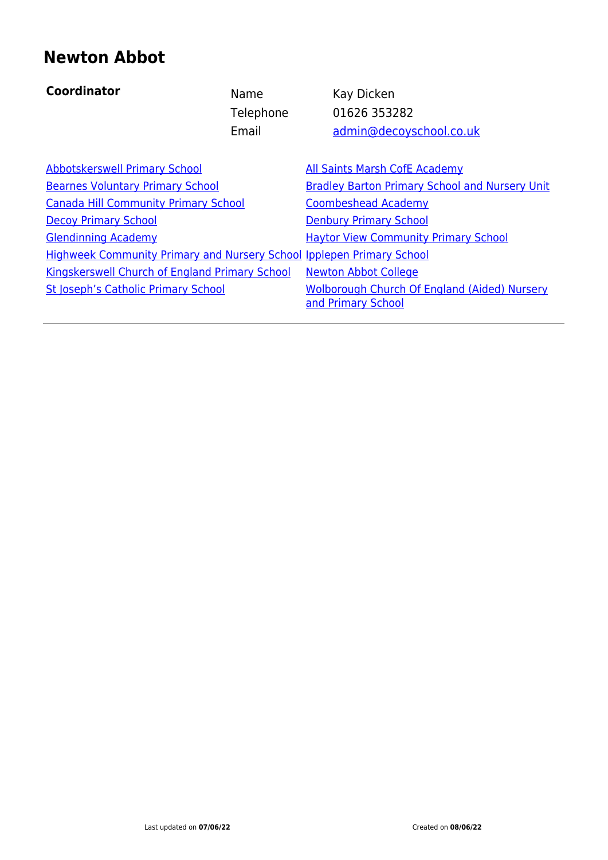## **Newton Abbot**

| <b>Coordinator</b>                                                           | Name      | Kay Dicken                                                                |
|------------------------------------------------------------------------------|-----------|---------------------------------------------------------------------------|
|                                                                              | Telephone | 01626 353282                                                              |
|                                                                              | Email     | admin@decoyschool.co.uk                                                   |
| <b>Abbotskerswell Primary School</b>                                         |           | <b>All Saints Marsh CofE Academy</b>                                      |
| <b>Bearnes Voluntary Primary School</b>                                      |           | <b>Bradley Barton Primary School and Nursery Unit</b>                     |
| <b>Canada Hill Community Primary School</b>                                  |           | <b>Coombeshead Academy</b>                                                |
| <b>Decoy Primary School</b>                                                  |           | <b>Denbury Primary School</b>                                             |
| <b>Glendinning Academy</b>                                                   |           | <b>Haytor View Community Primary School</b>                               |
| <b>Highweek Community Primary and Nursery School Ipplepen Primary School</b> |           |                                                                           |
| <b>Kingskerswell Church of England Primary School</b>                        |           | <b>Newton Abbot College</b>                                               |
| <b>St Joseph's Catholic Primary School</b>                                   |           | <b>Wolborough Church Of England (Aided) Nursery</b><br>and Primary School |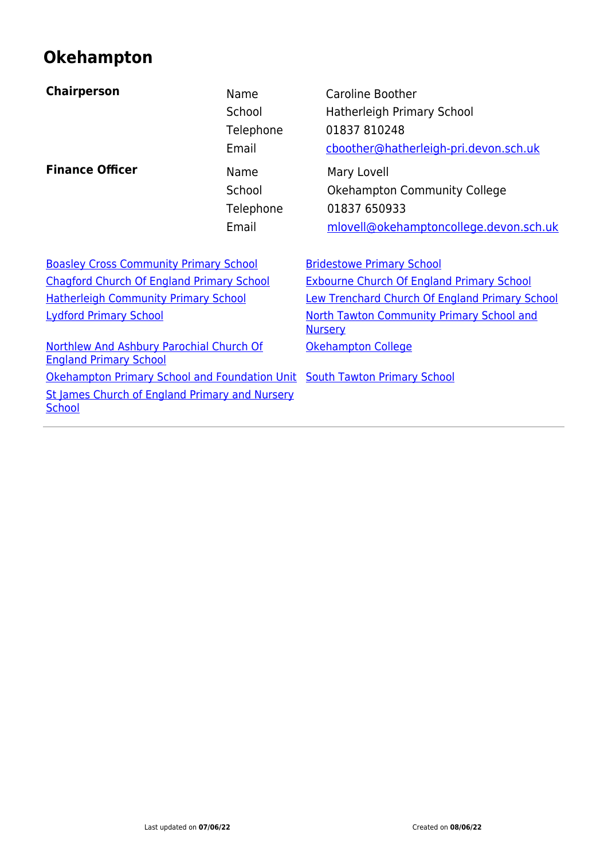## **Okehampton**

| <b>Chairperson</b>                                                        | Name<br>School<br>Telephone<br>Email | <b>Caroline Boother</b><br>Hatherleigh Primary School<br>01837 810248<br>cboother@hatherleigh-pri.devon.sch.uk |
|---------------------------------------------------------------------------|--------------------------------------|----------------------------------------------------------------------------------------------------------------|
| <b>Finance Officer</b>                                                    | Name<br>School<br>Telephone<br>Email | Mary Lovell<br><b>Okehampton Community College</b><br>01837 650933<br>mlovell@okehamptoncollege.devon.sch.uk   |
| <b>Boasley Cross Community Primary School</b>                             |                                      | <b>Bridestowe Primary School</b>                                                                               |
| <b>Chagford Church Of England Primary School</b>                          |                                      | <b>Exbourne Church Of England Primary School</b>                                                               |
| <b>Hatherleigh Community Primary School</b>                               |                                      | Lew Trenchard Church Of England Primary School                                                                 |
| <b>Lydford Primary School</b>                                             |                                      | <b>North Tawton Community Primary School and</b><br><b>Nursery</b>                                             |
| Northlew And Ashbury Parochial Church Of<br><b>England Primary School</b> |                                      | Okehampton College                                                                                             |
| Okehampton Primary School and Foundation Unit South Tawton Primary School |                                      |                                                                                                                |
| St James Church of England Primary and Nursery<br><b>School</b>           |                                      |                                                                                                                |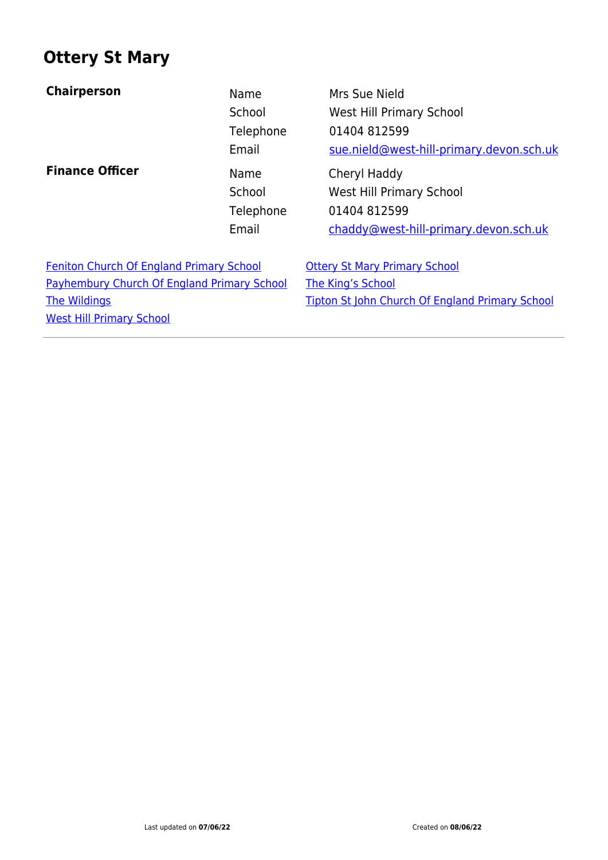#### **Ottery St Mary**

| <b>Chairperson</b>                                                                                                                                              | Name<br>School<br>Telephone<br>Email | Mrs Sue Nield<br>West Hill Primary School<br>01404 812599<br>sue.nield@west-hill-primary.devon.sch.uk                      |
|-----------------------------------------------------------------------------------------------------------------------------------------------------------------|--------------------------------------|----------------------------------------------------------------------------------------------------------------------------|
| <b>Finance Officer</b>                                                                                                                                          | Name<br>School<br>Telephone<br>Email | Cheryl Haddy<br><b>West Hill Primary School</b><br>01404 812599<br>chaddy@west-hill-primary.devon.sch.uk                   |
| <b>Feniton Church Of England Primary School</b><br><b>Payhembury Church Of England Primary School</b><br><b>The Wildings</b><br><b>West Hill Primary School</b> |                                      | <b>Ottery St Mary Primary School</b><br><b>The King's School</b><br><b>Tipton St John Church Of England Primary School</b> |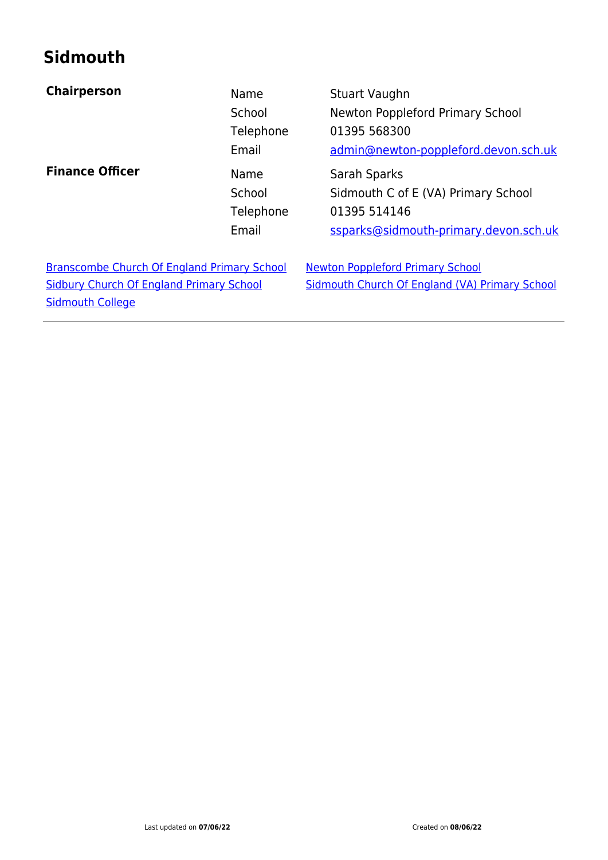## **Sidmouth**

| <b>Chairperson</b>                                                                                                               | Name<br>School<br>Telephone<br>Email | Stuart Vaughn<br>Newton Poppleford Primary School<br>01395 568300<br>admin@newton-poppleford.devon.sch.uk    |
|----------------------------------------------------------------------------------------------------------------------------------|--------------------------------------|--------------------------------------------------------------------------------------------------------------|
| <b>Finance Officer</b>                                                                                                           | Name<br>School<br>Telephone<br>Email | Sarah Sparks<br>Sidmouth C of E (VA) Primary School<br>01395 514146<br>ssparks@sidmouth-primary.devon.sch.uk |
| <b>Branscombe Church Of England Primary School</b><br><b>Sidbury Church Of England Primary School</b><br><b>Sidmouth College</b> |                                      | <b>Newton Poppleford Primary School</b><br>Sidmouth Church Of England (VA) Primary School                    |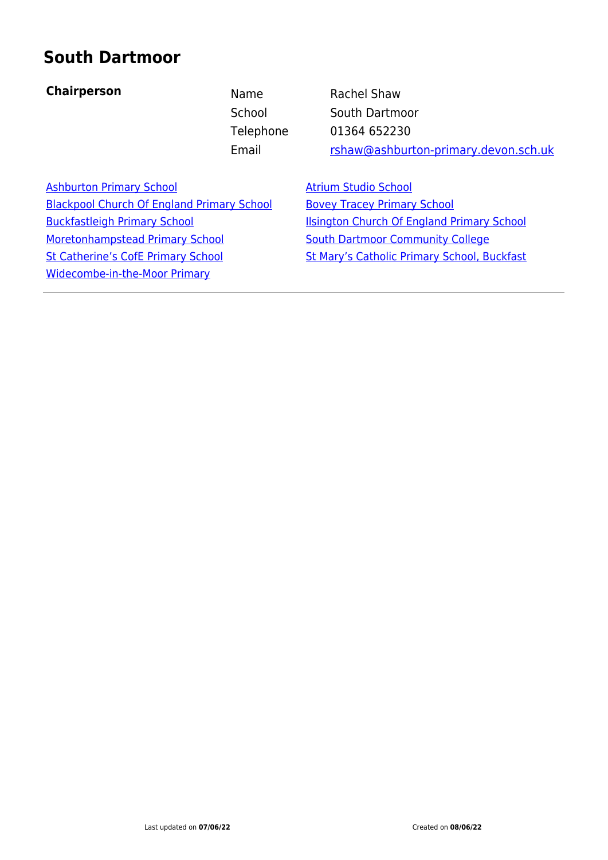#### **South Dartmoor**

#### **Chairperson** Name Rachel Shaw

School South Dartmoor Telephone 01364 652230 Email [rshaw@ashburton-primary.devon.sch.uk](mailto:rshaw@ashburton-primary.devon.sch.uk)

[Ashburton Primary School](https://www.devon.gov.uk/schools/school/ashburton-primary-school/) [Atrium Studio School](https://www.devon.gov.uk/schools/school/atrium-studio-school/) [Blackpool Church Of England Primary School](https://www.devon.gov.uk/schools/school/blackpool-church-of-england-primary-school/) [Bovey Tracey Primary School](https://www.devon.gov.uk/schools/school/bovey-tracey-primary-school/) [Buckfastleigh Primary School](https://www.devon.gov.uk/schools/school/buckfastleigh-primary-school/) [Ilsington Church Of England Primary School](https://www.devon.gov.uk/schools/school/ilsington-church-of-england-primary-school/) [Moretonhampstead Primary School](https://www.devon.gov.uk/schools/school/moretonhampstead-primary-school/) [South Dartmoor Community College](https://www.devon.gov.uk/schools/school/south-dartmoor-community-college/) [St Catherine's CofE Primary School](https://www.devon.gov.uk/schools/school/st-catherines-church-of-england-primary-nursery-school/) [St Mary's Catholic Primary School, Buckfast](https://www.devon.gov.uk/schools/school/st-marys-catholic-primary-school-buckfast/) [Widecombe-in-the-Moor Primary](https://www.devon.gov.uk/schools/school/widecombe-in-the-moor-primary/)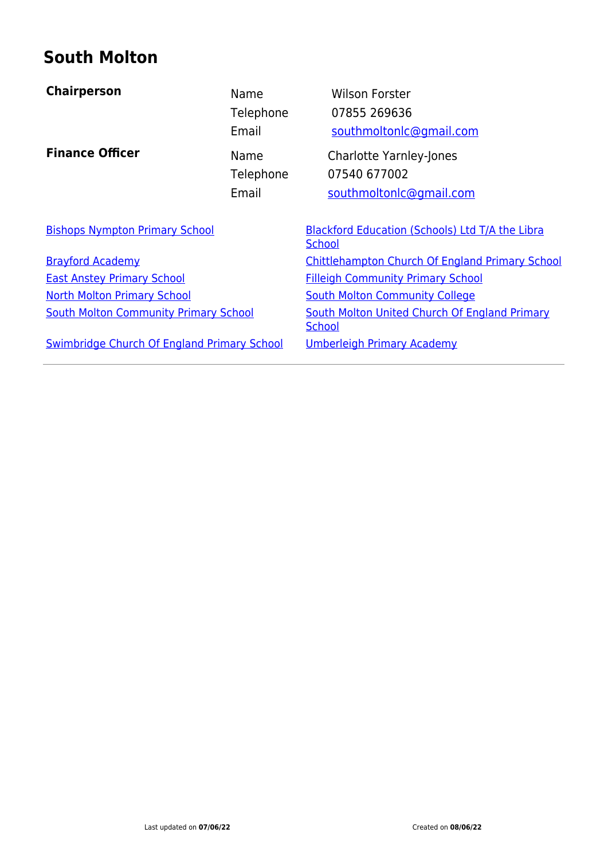## **South Molton**

| <b>Chairperson</b>                                 | Name<br>Telephone<br>Email | <b>Wilson Forster</b><br>07855 269636<br>southmoltonlc@gmail.com          |  |
|----------------------------------------------------|----------------------------|---------------------------------------------------------------------------|--|
| <b>Finance Officer</b>                             | Name<br>Telephone<br>Email | <b>Charlotte Yarnley-Jones</b><br>07540 677002<br>southmoltonlc@gmail.com |  |
| <b>Bishops Nympton Primary School</b>              |                            | <b>Blackford Education (Schools) Ltd T/A the Libra</b><br><b>School</b>   |  |
| <b>Brayford Academy</b>                            |                            | <b>Chittlehampton Church Of England Primary School</b>                    |  |
| <b>East Anstey Primary School</b>                  |                            | <b>Filleigh Community Primary School</b>                                  |  |
| <b>North Molton Primary School</b>                 |                            | <b>South Molton Community College</b>                                     |  |
| <b>South Molton Community Primary School</b>       |                            | South Molton United Church Of England Primary<br><b>School</b>            |  |
| <b>Swimbridge Church Of England Primary School</b> |                            | <b>Umberleigh Primary Academy</b>                                         |  |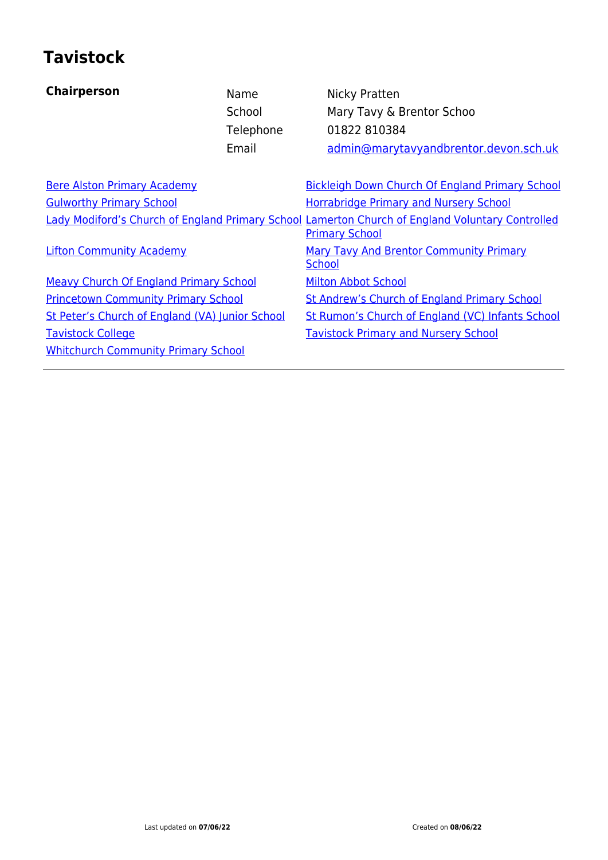## **Tavistock**

| <b>Chairperson</b>                              | Name<br>School<br>Telephone<br>Email | Nicky Pratten<br>Mary Tavy & Brentor Schoo<br>01822 810384<br>admin@marytavyandbrentor.devon.sch.uk                       |
|-------------------------------------------------|--------------------------------------|---------------------------------------------------------------------------------------------------------------------------|
| <b>Bere Alston Primary Academy</b>              |                                      | <b>Bickleigh Down Church Of England Primary School</b>                                                                    |
| <b>Gulworthy Primary School</b>                 |                                      | <b>Horrabridge Primary and Nursery School</b>                                                                             |
|                                                 |                                      | Lady Modiford's Church of England Primary School Lamerton Church of England Voluntary Controlled<br><b>Primary School</b> |
| <b>Lifton Community Academy</b>                 |                                      | <b>Mary Tavy And Brentor Community Primary</b><br>School                                                                  |
| <b>Meavy Church Of England Primary School</b>   |                                      | <b>Milton Abbot School</b>                                                                                                |
| <b>Princetown Community Primary School</b>      |                                      | <b>St Andrew's Church of England Primary School</b>                                                                       |
| St Peter's Church of England (VA) Junior School |                                      | St Rumon's Church of England (VC) Infants School                                                                          |
| <b>Tavistock College</b>                        |                                      | <b>Tavistock Primary and Nursery School</b>                                                                               |
| <b>Whitchurch Community Primary School</b>      |                                      |                                                                                                                           |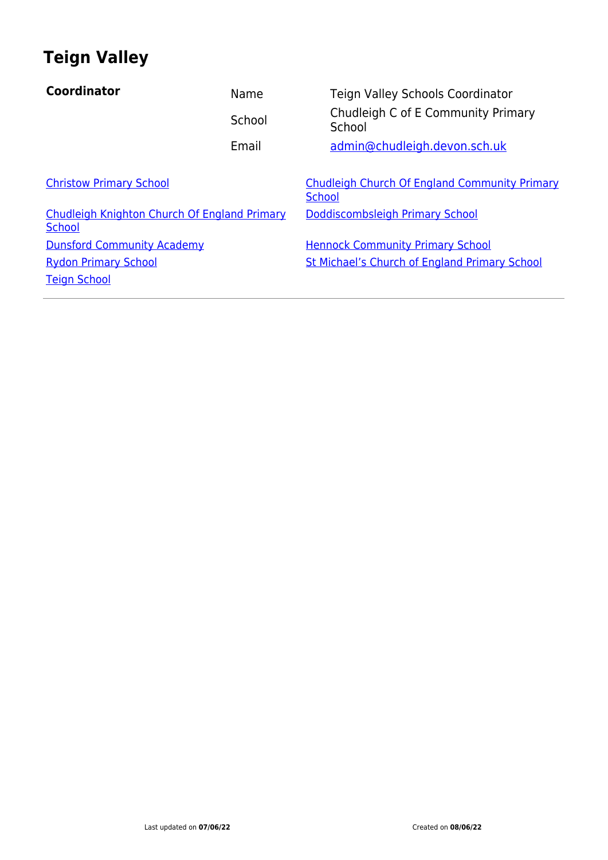## **Teign Valley**

| Coordinator                                                   | Name   | Teign Valley Schools Coordinator                               |
|---------------------------------------------------------------|--------|----------------------------------------------------------------|
|                                                               | School | Chudleigh C of E Community Primary<br>School                   |
|                                                               | Email  | admin@chudleigh.devon.sch.uk                                   |
| <b>Christow Primary School</b>                                |        | Chudleigh Church Of England Community Primary<br><b>School</b> |
| Chudleigh Knighton Church Of England Primary<br><b>School</b> |        | Doddiscombsleigh Primary School                                |
| <b>Dunsford Community Academy</b>                             |        | <b>Hennock Community Primary School</b>                        |
| <b>Rydon Primary School</b>                                   |        | <b>St Michael's Church of England Primary School</b>           |
| <b>Teign School</b>                                           |        |                                                                |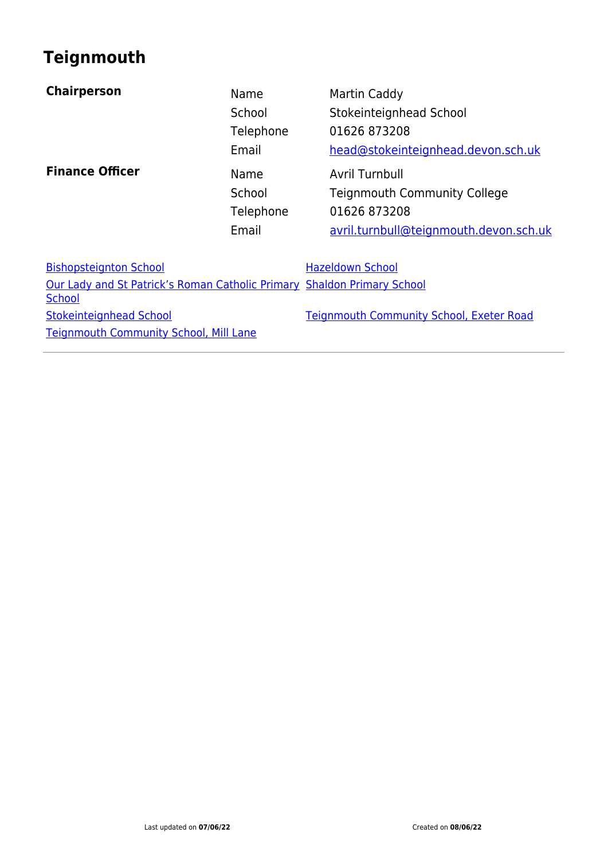## **Teignmouth**

| <b>Chairperson</b>                                                                       | Name<br>School<br>Telephone<br>Email | Martin Caddy<br>Stokeinteignhead School<br>01626 873208<br>head@stokeinteignhead.devon.sch.uk                   |
|------------------------------------------------------------------------------------------|--------------------------------------|-----------------------------------------------------------------------------------------------------------------|
| <b>Finance Officer</b>                                                                   | Name<br>School<br>Telephone<br>Email | Avril Turnbull<br><b>Teignmouth Community College</b><br>01626 873208<br>avril.turnbull@teignmouth.devon.sch.uk |
| <b>Bishopsteignton School</b>                                                            |                                      | <b>Hazeldown School</b>                                                                                         |
| Our Lady and St Patrick's Roman Catholic Primary Shaldon Primary School<br><b>School</b> |                                      |                                                                                                                 |
| <b>Stokeinteignhead School</b>                                                           |                                      | <b>Teignmouth Community School, Exeter Road</b>                                                                 |
| <b>Teignmouth Community School, Mill Lane</b>                                            |                                      |                                                                                                                 |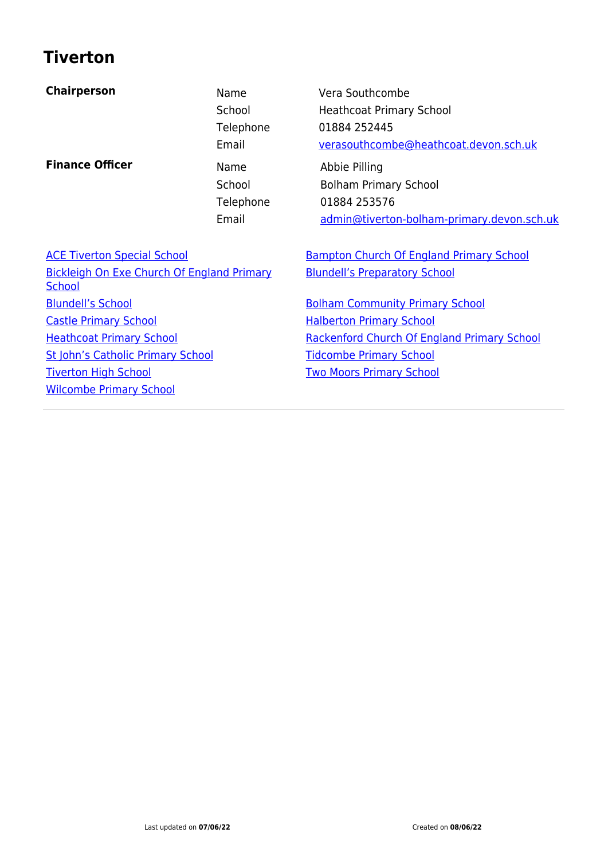## **Tiverton**

| <b>Chairperson</b>                                                 | Name<br>School<br>Telephone<br>Email | Vera Southcombe<br><b>Heathcoat Primary School</b><br>01884 252445<br>verasouthcombe@heathcoat.devon.sch.uk |
|--------------------------------------------------------------------|--------------------------------------|-------------------------------------------------------------------------------------------------------------|
| <b>Finance Officer</b>                                             | Name<br>School<br>Telephone<br>Email | Abbie Pilling<br><b>Bolham Primary School</b><br>01884 253576<br>admin@tiverton-bolham-primary.devon.sch.uk |
| <b>ACE Tiverton Special School</b>                                 |                                      | <b>Bampton Church Of England Primary School</b>                                                             |
| <b>Bickleigh On Exe Church Of England Primary</b><br><b>School</b> |                                      | <b>Blundell's Preparatory School</b>                                                                        |
| <b>Blundell's School</b>                                           |                                      | <b>Bolham Community Primary School</b>                                                                      |
| <b>Castle Primary School</b>                                       |                                      | <b>Halberton Primary School</b>                                                                             |
| <b>Heathcoat Primary School</b>                                    |                                      | Rackenford Church Of England Primary School                                                                 |
| St John's Catholic Primary School                                  |                                      | <b>Tidcombe Primary School</b>                                                                              |
| <b>Tiverton High School</b>                                        |                                      | <b>Two Moors Primary School</b>                                                                             |
| <b>Wilcombe Primary School</b>                                     |                                      |                                                                                                             |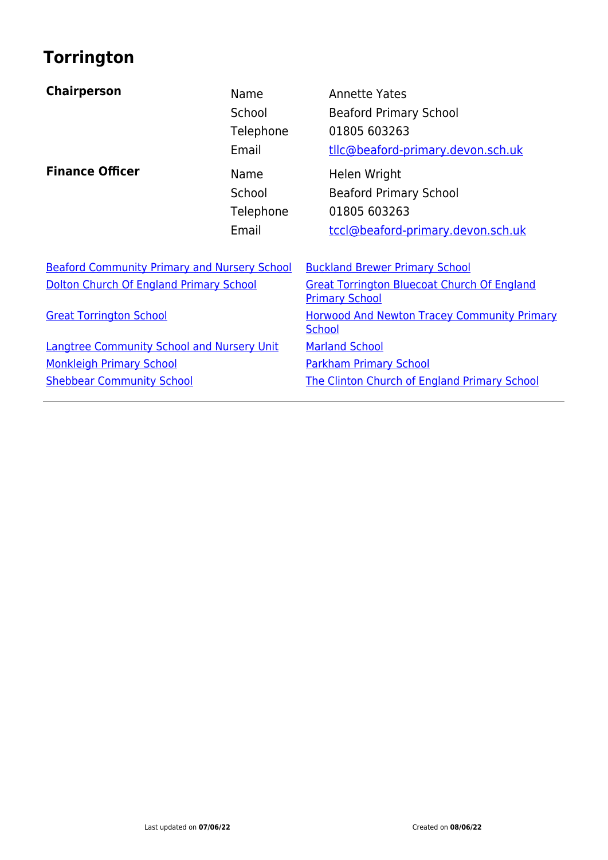# **Torrington**

| <b>Chairperson</b>                                  | Name<br>School<br>Telephone<br>Email | <b>Annette Yates</b><br><b>Beaford Primary School</b><br>01805 603263<br>tllc@beaford-primary.devon.sch.uk |
|-----------------------------------------------------|--------------------------------------|------------------------------------------------------------------------------------------------------------|
| <b>Finance Officer</b>                              | Name<br>School<br>Telephone<br>Email | Helen Wright<br><b>Beaford Primary School</b><br>01805 603263<br>tccl@beaford-primary.devon.sch.uk         |
| <b>Beaford Community Primary and Nursery School</b> |                                      | <b>Buckland Brewer Primary School</b>                                                                      |
| Dolton Church Of England Primary School             |                                      | <b>Great Torrington Bluecoat Church Of England</b><br><b>Primary School</b>                                |
| <b>Great Torrington School</b>                      |                                      | <b>Horwood And Newton Tracey Community Primary</b><br><b>School</b>                                        |
| <b>Langtree Community School and Nursery Unit</b>   |                                      | <b>Marland School</b>                                                                                      |
| <b>Monkleigh Primary School</b>                     |                                      | <b>Parkham Primary School</b>                                                                              |
| <b>Shebbear Community School</b>                    |                                      | <b>The Clinton Church of England Primary School</b>                                                        |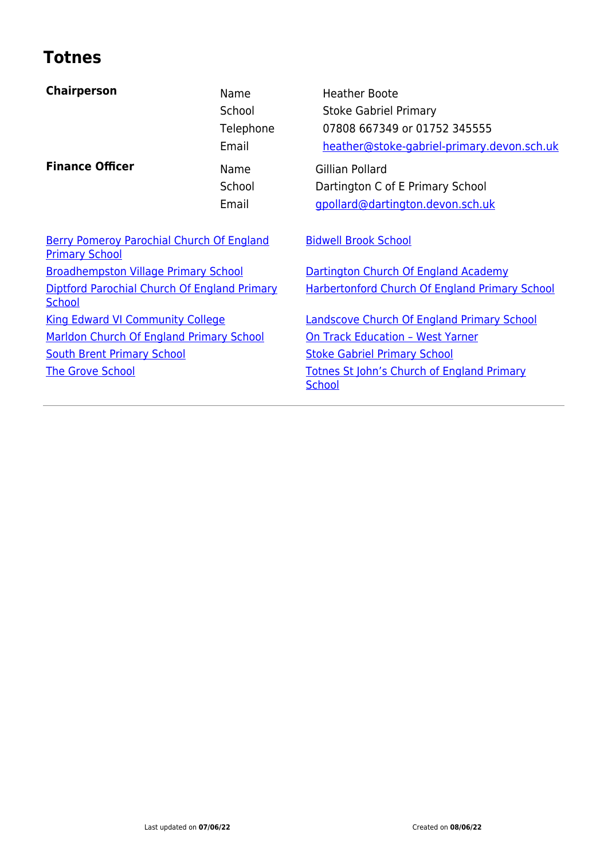#### **Totnes**

| <b>Chairperson</b>                                                        | Name<br>School<br>Telephone<br>Email | <b>Heather Boote</b><br><b>Stoke Gabriel Primary</b><br>07808 667349 or 01752 345555<br>heather@stoke-gabriel-primary.devon.sch.uk |
|---------------------------------------------------------------------------|--------------------------------------|------------------------------------------------------------------------------------------------------------------------------------|
| <b>Finance Officer</b>                                                    | Name<br>School<br>Email              | Gillian Pollard<br>Dartington C of E Primary School<br>gpollard@dartington.devon.sch.uk                                            |
| <b>Berry Pomeroy Parochial Church Of England</b><br><b>Primary School</b> |                                      | <b>Bidwell Brook School</b>                                                                                                        |
| <b>Broadhempston Village Primary School</b>                               |                                      | Dartington Church Of England Academy                                                                                               |
| Diptford Parochial Church Of England Primary<br><b>School</b>             |                                      | <b>Harbertonford Church Of England Primary School</b>                                                                              |
| <b>King Edward VI Community College</b>                                   |                                      | <b>Landscove Church Of England Primary School</b>                                                                                  |
| Marldon Church Of England Primary School                                  |                                      | <b>On Track Education - West Yarner</b>                                                                                            |
| <b>South Brent Primary School</b>                                         |                                      | <b>Stoke Gabriel Primary School</b>                                                                                                |
| <b>The Grove School</b>                                                   |                                      | <b>Totnes St John's Church of England Primary</b><br>School                                                                        |